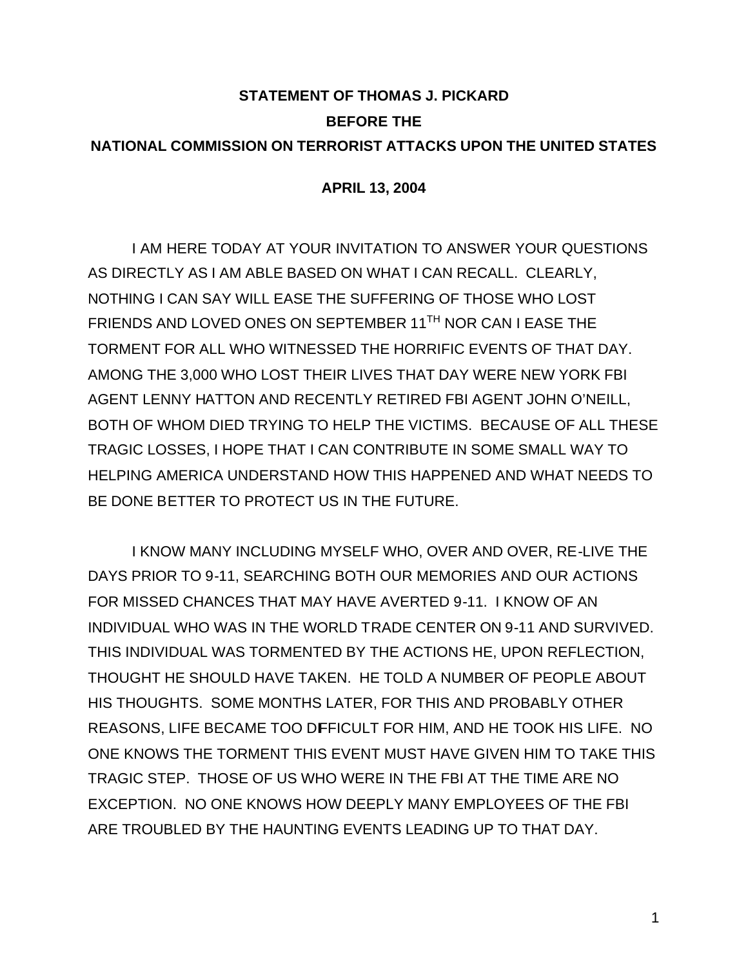## **STATEMENT OF THOMAS J. PICKARD BEFORE THE NATIONAL COMMISSION ON TERRORIST ATTACKS UPON THE UNITED STATES**

## **APRIL 13, 2004**

I AM HERE TODAY AT YOUR INVITATION TO ANSWER YOUR QUESTIONS AS DIRECTLY AS I AM ABLE BASED ON WHAT I CAN RECALL. CLEARLY, NOTHING I CAN SAY WILL EASE THE SUFFERING OF THOSE WHO LOST FRIENDS AND LOVED ONES ON SEPTEMBER 11<sup>TH</sup> NOR CAN I EASE THE TORMENT FOR ALL WHO WITNESSED THE HORRIFIC EVENTS OF THAT DAY. AMONG THE 3,000 WHO LOST THEIR LIVES THAT DAY WERE NEW YORK FBI AGENT LENNY HATTON AND RECENTLY RETIRED FBI AGENT JOHN O'NEILL, BOTH OF WHOM DIED TRYING TO HELP THE VICTIMS. BECAUSE OF ALL THESE TRAGIC LOSSES, I HOPE THAT I CAN CONTRIBUTE IN SOME SMALL WAY TO HELPING AMERICA UNDERSTAND HOW THIS HAPPENED AND WHAT NEEDS TO BE DONE BETTER TO PROTECT US IN THE FUTURE.

I KNOW MANY INCLUDING MYSELF WHO, OVER AND OVER, RE-LIVE THE DAYS PRIOR TO 9-11, SEARCHING BOTH OUR MEMORIES AND OUR ACTIONS FOR MISSED CHANCES THAT MAY HAVE AVERTED 9-11. I KNOW OF AN INDIVIDUAL WHO WAS IN THE WORLD TRADE CENTER ON 9-11 AND SURVIVED. THIS INDIVIDUAL WAS TORMENTED BY THE ACTIONS HE, UPON REFLECTION, THOUGHT HE SHOULD HAVE TAKEN. HE TOLD A NUMBER OF PEOPLE ABOUT HIS THOUGHTS. SOME MONTHS LATER, FOR THIS AND PROBABLY OTHER REASONS, LIFE BECAME TOO DFFICULT FOR HIM, AND HE TOOK HIS LIFE. NO ONE KNOWS THE TORMENT THIS EVENT MUST HAVE GIVEN HIM TO TAKE THIS TRAGIC STEP. THOSE OF US WHO WERE IN THE FBI AT THE TIME ARE NO EXCEPTION. NO ONE KNOWS HOW DEEPLY MANY EMPLOYEES OF THE FBI ARE TROUBLED BY THE HAUNTING EVENTS LEADING UP TO THAT DAY.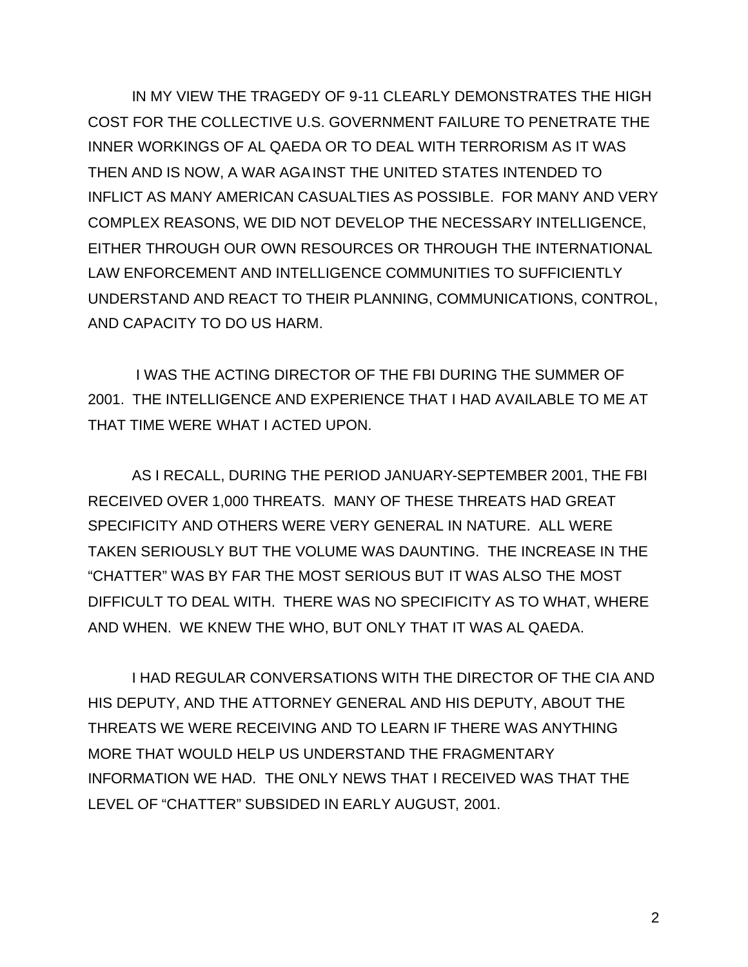IN MY VIEW THE TRAGEDY OF 9-11 CLEARLY DEMONSTRATES THE HIGH COST FOR THE COLLECTIVE U.S. GOVERNMENT FAILURE TO PENETRATE THE INNER WORKINGS OF AL QAEDA OR TO DEAL WITH TERRORISM AS IT WAS THEN AND IS NOW, A WAR AGAINST THE UNITED STATES INTENDED TO INFLICT AS MANY AMERICAN CASUALTIES AS POSSIBLE. FOR MANY AND VERY COMPLEX REASONS, WE DID NOT DEVELOP THE NECESSARY INTELLIGENCE, EITHER THROUGH OUR OWN RESOURCES OR THROUGH THE INTERNATIONAL LAW ENFORCEMENT AND INTELLIGENCE COMMUNITIES TO SUFFICIENTLY UNDERSTAND AND REACT TO THEIR PLANNING, COMMUNICATIONS, CONTROL, AND CAPACITY TO DO US HARM.

 I WAS THE ACTING DIRECTOR OF THE FBI DURING THE SUMMER OF 2001. THE INTELLIGENCE AND EXPERIENCE THAT I HAD AVAILABLE TO ME AT THAT TIME WERE WHAT I ACTED UPON.

AS I RECALL, DURING THE PERIOD JANUARY-SEPTEMBER 2001, THE FBI RECEIVED OVER 1,000 THREATS. MANY OF THESE THREATS HAD GREAT SPECIFICITY AND OTHERS WERE VERY GENERAL IN NATURE. ALL WERE TAKEN SERIOUSLY BUT THE VOLUME WAS DAUNTING. THE INCREASE IN THE "CHATTER" WAS BY FAR THE MOST SERIOUS BUT IT WAS ALSO THE MOST DIFFICULT TO DEAL WITH. THERE WAS NO SPECIFICITY AS TO WHAT, WHERE AND WHEN. WE KNEW THE WHO, BUT ONLY THAT IT WAS AL QAEDA.

I HAD REGULAR CONVERSATIONS WITH THE DIRECTOR OF THE CIA AND HIS DEPUTY, AND THE ATTORNEY GENERAL AND HIS DEPUTY, ABOUT THE THREATS WE WERE RECEIVING AND TO LEARN IF THERE WAS ANYTHING MORE THAT WOULD HELP US UNDERSTAND THE FRAGMENTARY INFORMATION WE HAD. THE ONLY NEWS THAT I RECEIVED WAS THAT THE LEVEL OF "CHATTER" SUBSIDED IN EARLY AUGUST, 2001.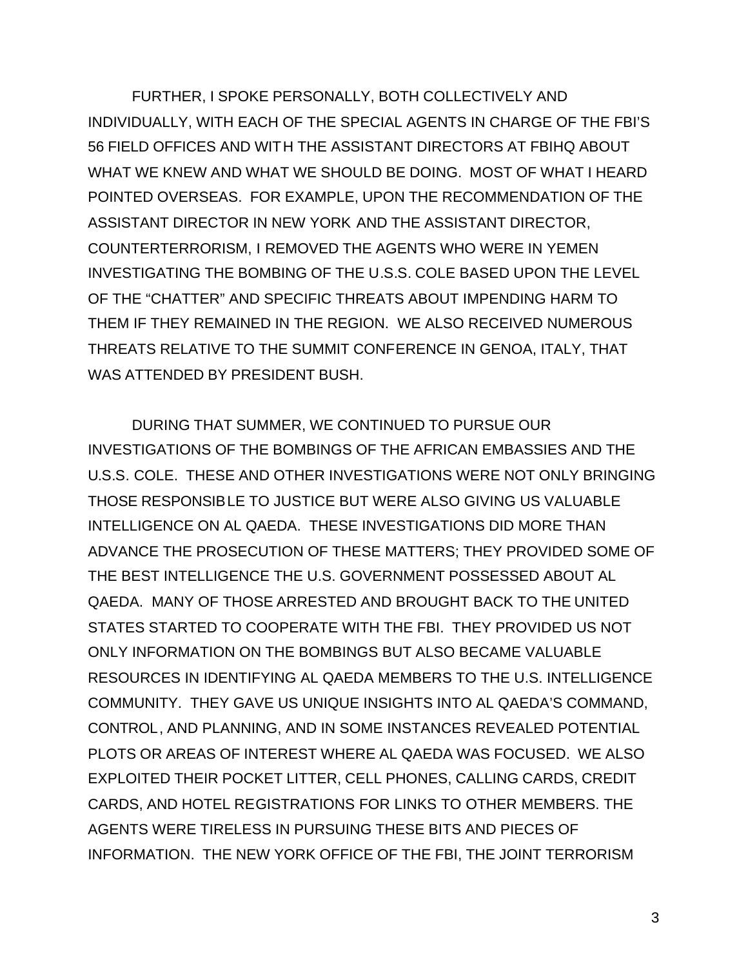FURTHER, I SPOKE PERSONALLY, BOTH COLLECTIVELY AND INDIVIDUALLY, WITH EACH OF THE SPECIAL AGENTS IN CHARGE OF THE FBI'S 56 FIELD OFFICES AND WITH THE ASSISTANT DIRECTORS AT FBIHQ ABOUT WHAT WE KNEW AND WHAT WE SHOULD BE DOING. MOST OF WHAT I HEARD POINTED OVERSEAS. FOR EXAMPLE, UPON THE RECOMMENDATION OF THE ASSISTANT DIRECTOR IN NEW YORK AND THE ASSISTANT DIRECTOR, COUNTERTERRORISM, I REMOVED THE AGENTS WHO WERE IN YEMEN INVESTIGATING THE BOMBING OF THE U.S.S. COLE BASED UPON THE LEVEL OF THE "CHATTER" AND SPECIFIC THREATS ABOUT IMPENDING HARM TO THEM IF THEY REMAINED IN THE REGION. WE ALSO RECEIVED NUMEROUS THREATS RELATIVE TO THE SUMMIT CONFERENCE IN GENOA, ITALY, THAT WAS ATTENDED BY PRESIDENT BUSH.

DURING THAT SUMMER, WE CONTINUED TO PURSUE OUR INVESTIGATIONS OF THE BOMBINGS OF THE AFRICAN EMBASSIES AND THE U.S.S. COLE. THESE AND OTHER INVESTIGATIONS WERE NOT ONLY BRINGING THOSE RESPONSIBLE TO JUSTICE BUT WERE ALSO GIVING US VALUABLE INTELLIGENCE ON AL QAEDA. THESE INVESTIGATIONS DID MORE THAN ADVANCE THE PROSECUTION OF THESE MATTERS; THEY PROVIDED SOME OF THE BEST INTELLIGENCE THE U.S. GOVERNMENT POSSESSED ABOUT AL QAEDA. MANY OF THOSE ARRESTED AND BROUGHT BACK TO THE UNITED STATES STARTED TO COOPERATE WITH THE FBI. THEY PROVIDED US NOT ONLY INFORMATION ON THE BOMBINGS BUT ALSO BECAME VALUABLE RESOURCES IN IDENTIFYING AL QAEDA MEMBERS TO THE U.S. INTELLIGENCE COMMUNITY. THEY GAVE US UNIQUE INSIGHTS INTO AL QAEDA'S COMMAND, CONTROL, AND PLANNING, AND IN SOME INSTANCES REVEALED POTENTIAL PLOTS OR AREAS OF INTEREST WHERE AL QAEDA WAS FOCUSED. WE ALSO EXPLOITED THEIR POCKET LITTER, CELL PHONES, CALLING CARDS, CREDIT CARDS, AND HOTEL REGISTRATIONS FOR LINKS TO OTHER MEMBERS. THE AGENTS WERE TIRELESS IN PURSUING THESE BITS AND PIECES OF INFORMATION. THE NEW YORK OFFICE OF THE FBI, THE JOINT TERRORISM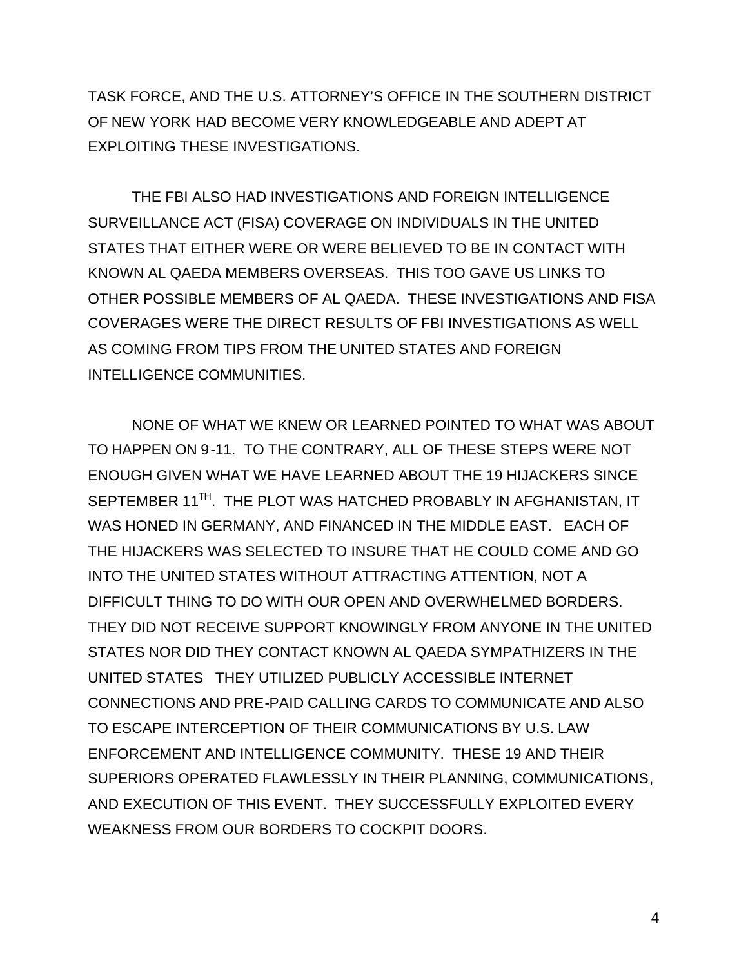TASK FORCE, AND THE U.S. ATTORNEY'S OFFICE IN THE SOUTHERN DISTRICT OF NEW YORK HAD BECOME VERY KNOWLEDGEABLE AND ADEPT AT EXPLOITING THESE INVESTIGATIONS.

THE FBI ALSO HAD INVESTIGATIONS AND FOREIGN INTELLIGENCE SURVEILLANCE ACT (FISA) COVERAGE ON INDIVIDUALS IN THE UNITED STATES THAT EITHER WERE OR WERE BELIEVED TO BE IN CONTACT WITH KNOWN AL QAEDA MEMBERS OVERSEAS. THIS TOO GAVE US LINKS TO OTHER POSSIBLE MEMBERS OF AL QAEDA. THESE INVESTIGATIONS AND FISA COVERAGES WERE THE DIRECT RESULTS OF FBI INVESTIGATIONS AS WELL AS COMING FROM TIPS FROM THE UNITED STATES AND FOREIGN INTELLIGENCE COMMUNITIES.

NONE OF WHAT WE KNEW OR LEARNED POINTED TO WHAT WAS ABOUT TO HAPPEN ON 9-11. TO THE CONTRARY, ALL OF THESE STEPS WERE NOT ENOUGH GIVEN WHAT WE HAVE LEARNED ABOUT THE 19 HIJACKERS SINCE SEPTEMBER 11 $^{\text{TH}}$ . THE PLOT WAS HATCHED PROBABLY IN AFGHANISTAN, IT WAS HONED IN GERMANY, AND FINANCED IN THE MIDDLE EAST. EACH OF THE HIJACKERS WAS SELECTED TO INSURE THAT HE COULD COME AND GO INTO THE UNITED STATES WITHOUT ATTRACTING ATTENTION, NOT A DIFFICULT THING TO DO WITH OUR OPEN AND OVERWHELMED BORDERS. THEY DID NOT RECEIVE SUPPORT KNOWINGLY FROM ANYONE IN THE UNITED STATES NOR DID THEY CONTACT KNOWN AL QAEDA SYMPATHIZERS IN THE UNITED STATES THEY UTILIZED PUBLICLY ACCESSIBLE INTERNET CONNECTIONS AND PRE-PAID CALLING CARDS TO COMMUNICATE AND ALSO TO ESCAPE INTERCEPTION OF THEIR COMMUNICATIONS BY U.S. LAW ENFORCEMENT AND INTELLIGENCE COMMUNITY. THESE 19 AND THEIR SUPERIORS OPERATED FLAWLESSLY IN THEIR PLANNING, COMMUNICATIONS, AND EXECUTION OF THIS EVENT. THEY SUCCESSFULLY EXPLOITED EVERY WEAKNESS FROM OUR BORDERS TO COCKPIT DOORS.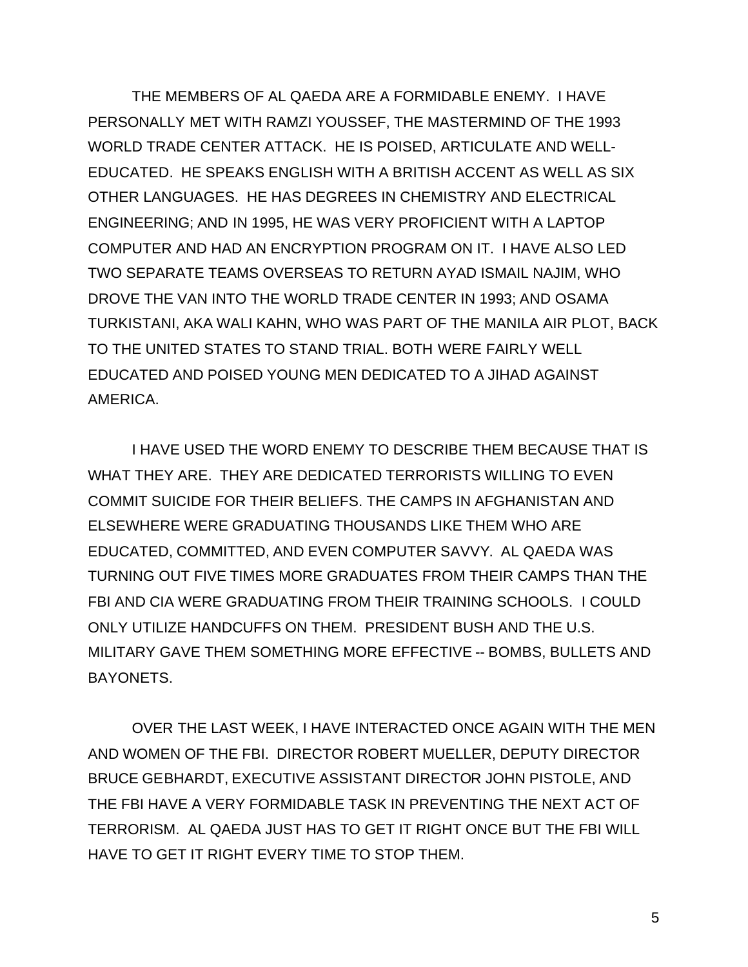THE MEMBERS OF AL QAEDA ARE A FORMIDABLE ENEMY. I HAVE PERSONALLY MET WITH RAMZI YOUSSEF, THE MASTERMIND OF THE 1993 WORLD TRADE CENTER ATTACK. HE IS POISED, ARTICULATE AND WELL-EDUCATED. HE SPEAKS ENGLISH WITH A BRITISH ACCENT AS WELL AS SIX OTHER LANGUAGES. HE HAS DEGREES IN CHEMISTRY AND ELECTRICAL ENGINEERING; AND IN 1995, HE WAS VERY PROFICIENT WITH A LAPTOP COMPUTER AND HAD AN ENCRYPTION PROGRAM ON IT. I HAVE ALSO LED TWO SEPARATE TEAMS OVERSEAS TO RETURN AYAD ISMAIL NAJIM, WHO DROVE THE VAN INTO THE WORLD TRADE CENTER IN 1993; AND OSAMA TURKISTANI, AKA WALI KAHN, WHO WAS PART OF THE MANILA AIR PLOT, BACK TO THE UNITED STATES TO STAND TRIAL. BOTH WERE FAIRLY WELL EDUCATED AND POISED YOUNG MEN DEDICATED TO A JIHAD AGAINST AMERICA.

I HAVE USED THE WORD ENEMY TO DESCRIBE THEM BECAUSE THAT IS WHAT THEY ARE. THEY ARE DEDICATED TERRORISTS WILLING TO EVEN COMMIT SUICIDE FOR THEIR BELIEFS. THE CAMPS IN AFGHANISTAN AND ELSEWHERE WERE GRADUATING THOUSANDS LIKE THEM WHO ARE EDUCATED, COMMITTED, AND EVEN COMPUTER SAVVY. AL QAEDA WAS TURNING OUT FIVE TIMES MORE GRADUATES FROM THEIR CAMPS THAN THE FBI AND CIA WERE GRADUATING FROM THEIR TRAINING SCHOOLS. I COULD ONLY UTILIZE HANDCUFFS ON THEM. PRESIDENT BUSH AND THE U.S. MILITARY GAVE THEM SOMETHING MORE EFFECTIVE -- BOMBS, BULLETS AND BAYONETS.

OVER THE LAST WEEK, I HAVE INTERACTED ONCE AGAIN WITH THE MEN AND WOMEN OF THE FBI. DIRECTOR ROBERT MUELLER, DEPUTY DIRECTOR BRUCE GEBHARDT, EXECUTIVE ASSISTANT DIRECTOR JOHN PISTOLE, AND THE FBI HAVE A VERY FORMIDABLE TASK IN PREVENTING THE NEXT ACT OF TERRORISM. AL QAEDA JUST HAS TO GET IT RIGHT ONCE BUT THE FBI WILL HAVE TO GET IT RIGHT EVERY TIME TO STOP THEM.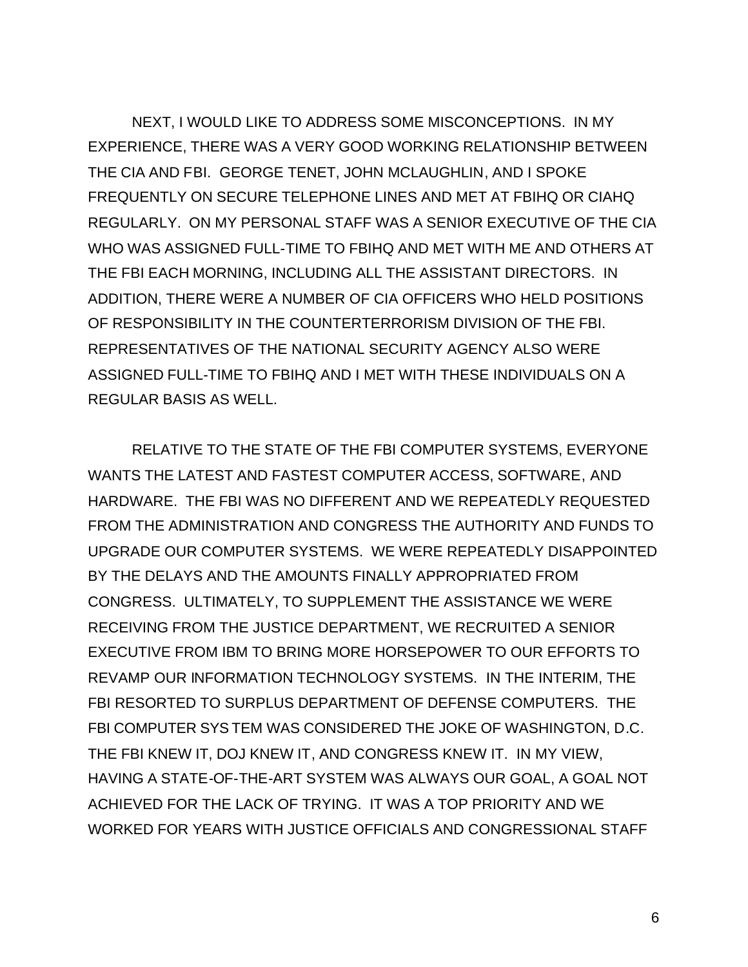NEXT, I WOULD LIKE TO ADDRESS SOME MISCONCEPTIONS. IN MY EXPERIENCE, THERE WAS A VERY GOOD WORKING RELATIONSHIP BETWEEN THE CIA AND FBI. GEORGE TENET, JOHN MCLAUGHLIN, AND I SPOKE FREQUENTLY ON SECURE TELEPHONE LINES AND MET AT FBIHQ OR CIAHQ REGULARLY. ON MY PERSONAL STAFF WAS A SENIOR EXECUTIVE OF THE CIA WHO WAS ASSIGNED FULL-TIME TO FBIHQ AND MET WITH ME AND OTHERS AT THE FBI EACH MORNING, INCLUDING ALL THE ASSISTANT DIRECTORS. IN ADDITION, THERE WERE A NUMBER OF CIA OFFICERS WHO HELD POSITIONS OF RESPONSIBILITY IN THE COUNTERTERRORISM DIVISION OF THE FBI. REPRESENTATIVES OF THE NATIONAL SECURITY AGENCY ALSO WERE ASSIGNED FULL-TIME TO FBIHQ AND I MET WITH THESE INDIVIDUALS ON A REGULAR BASIS AS WELL.

RELATIVE TO THE STATE OF THE FBI COMPUTER SYSTEMS, EVERYONE WANTS THE LATEST AND FASTEST COMPUTER ACCESS, SOFTWARE, AND HARDWARE. THE FBI WAS NO DIFFERENT AND WE REPEATEDLY REQUESTED FROM THE ADMINISTRATION AND CONGRESS THE AUTHORITY AND FUNDS TO UPGRADE OUR COMPUTER SYSTEMS. WE WERE REPEATEDLY DISAPPOINTED BY THE DELAYS AND THE AMOUNTS FINALLY APPROPRIATED FROM CONGRESS. ULTIMATELY, TO SUPPLEMENT THE ASSISTANCE WE WERE RECEIVING FROM THE JUSTICE DEPARTMENT, WE RECRUITED A SENIOR EXECUTIVE FROM IBM TO BRING MORE HORSEPOWER TO OUR EFFORTS TO REVAMP OUR INFORMATION TECHNOLOGY SYSTEMS. IN THE INTERIM, THE FBI RESORTED TO SURPLUS DEPARTMENT OF DEFENSE COMPUTERS. THE FBI COMPUTER SYS TEM WAS CONSIDERED THE JOKE OF WASHINGTON, D.C. THE FBI KNEW IT, DOJ KNEW IT, AND CONGRESS KNEW IT. IN MY VIEW, HAVING A STATE-OF-THE-ART SYSTEM WAS ALWAYS OUR GOAL, A GOAL NOT ACHIEVED FOR THE LACK OF TRYING. IT WAS A TOP PRIORITY AND WE WORKED FOR YEARS WITH JUSTICE OFFICIALS AND CONGRESSIONAL STAFF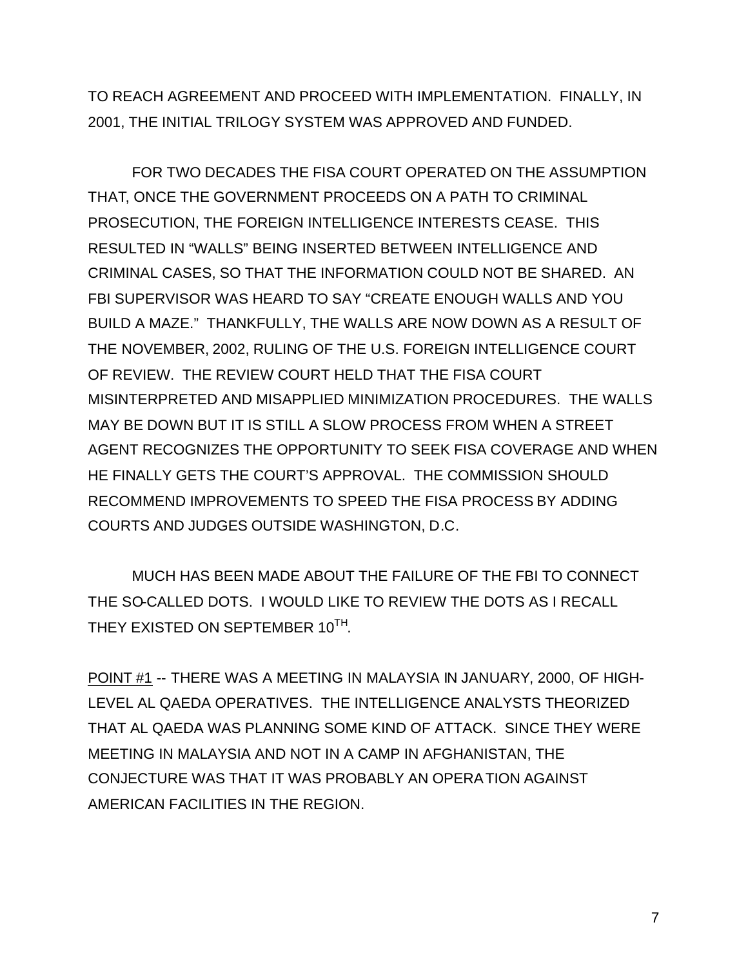TO REACH AGREEMENT AND PROCEED WITH IMPLEMENTATION. FINALLY, IN 2001, THE INITIAL TRILOGY SYSTEM WAS APPROVED AND FUNDED.

FOR TWO DECADES THE FISA COURT OPERATED ON THE ASSUMPTION THAT, ONCE THE GOVERNMENT PROCEEDS ON A PATH TO CRIMINAL PROSECUTION, THE FOREIGN INTELLIGENCE INTERESTS CEASE. THIS RESULTED IN "WALLS" BEING INSERTED BETWEEN INTELLIGENCE AND CRIMINAL CASES, SO THAT THE INFORMATION COULD NOT BE SHARED. AN FBI SUPERVISOR WAS HEARD TO SAY "CREATE ENOUGH WALLS AND YOU BUILD A MAZE." THANKFULLY, THE WALLS ARE NOW DOWN AS A RESULT OF THE NOVEMBER, 2002, RULING OF THE U.S. FOREIGN INTELLIGENCE COURT OF REVIEW. THE REVIEW COURT HELD THAT THE FISA COURT MISINTERPRETED AND MISAPPLIED MINIMIZATION PROCEDURES. THE WALLS MAY BE DOWN BUT IT IS STILL A SLOW PROCESS FROM WHEN A STREET AGENT RECOGNIZES THE OPPORTUNITY TO SEEK FISA COVERAGE AND WHEN HE FINALLY GETS THE COURT'S APPROVAL. THE COMMISSION SHOULD RECOMMEND IMPROVEMENTS TO SPEED THE FISA PROCESS BY ADDING COURTS AND JUDGES OUTSIDE WASHINGTON, D.C.

MUCH HAS BEEN MADE ABOUT THE FAILURE OF THE FBI TO CONNECT THE SO-CALLED DOTS. I WOULD LIKE TO REVIEW THE DOTS AS I RECALL THEY EXISTED ON SEPTEMBER 10 $^{\sf TH}$ .

POINT #1 -- THERE WAS A MEETING IN MALAYSIA IN JANUARY, 2000, OF HIGH-LEVEL AL QAEDA OPERATIVES. THE INTELLIGENCE ANALYSTS THEORIZED THAT AL QAEDA WAS PLANNING SOME KIND OF ATTACK. SINCE THEY WERE MEETING IN MALAYSIA AND NOT IN A CAMP IN AFGHANISTAN, THE CONJECTURE WAS THAT IT WAS PROBABLY AN OPERATION AGAINST AMERICAN FACILITIES IN THE REGION.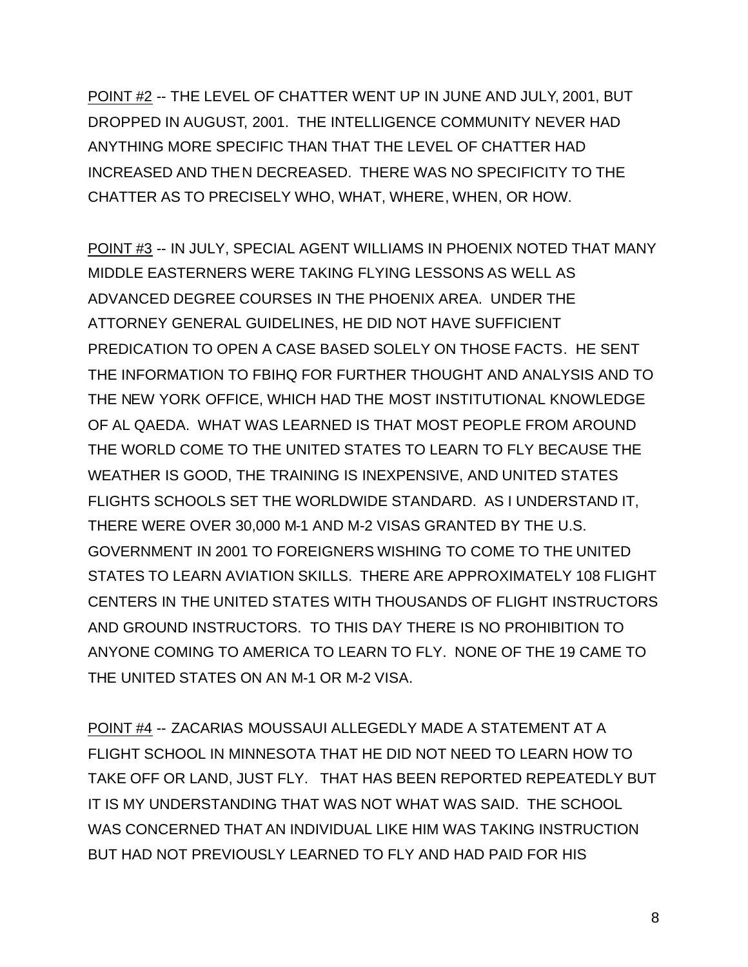POINT #2 -- THE LEVEL OF CHATTER WENT UP IN JUNE AND JULY, 2001, BUT DROPPED IN AUGUST, 2001. THE INTELLIGENCE COMMUNITY NEVER HAD ANYTHING MORE SPECIFIC THAN THAT THE LEVEL OF CHATTER HAD INCREASED AND THEN DECREASED. THERE WAS NO SPECIFICITY TO THE CHATTER AS TO PRECISELY WHO, WHAT, WHERE, WHEN, OR HOW.

POINT #3 -- IN JULY, SPECIAL AGENT WILLIAMS IN PHOENIX NOTED THAT MANY MIDDLE EASTERNERS WERE TAKING FLYING LESSONS AS WELL AS ADVANCED DEGREE COURSES IN THE PHOENIX AREA. UNDER THE ATTORNEY GENERAL GUIDELINES, HE DID NOT HAVE SUFFICIENT PREDICATION TO OPEN A CASE BASED SOLELY ON THOSE FACTS. HE SENT THE INFORMATION TO FBIHQ FOR FURTHER THOUGHT AND ANALYSIS AND TO THE NEW YORK OFFICE, WHICH HAD THE MOST INSTITUTIONAL KNOWLEDGE OF AL QAEDA. WHAT WAS LEARNED IS THAT MOST PEOPLE FROM AROUND THE WORLD COME TO THE UNITED STATES TO LEARN TO FLY BECAUSE THE WEATHER IS GOOD, THE TRAINING IS INEXPENSIVE, AND UNITED STATES FLIGHTS SCHOOLS SET THE WORLDWIDE STANDARD. AS I UNDERSTAND IT, THERE WERE OVER 30,000 M-1 AND M-2 VISAS GRANTED BY THE U.S. GOVERNMENT IN 2001 TO FOREIGNERS WISHING TO COME TO THE UNITED STATES TO LEARN AVIATION SKILLS. THERE ARE APPROXIMATELY 108 FLIGHT CENTERS IN THE UNITED STATES WITH THOUSANDS OF FLIGHT INSTRUCTORS AND GROUND INSTRUCTORS. TO THIS DAY THERE IS NO PROHIBITION TO ANYONE COMING TO AMERICA TO LEARN TO FLY. NONE OF THE 19 CAME TO THE UNITED STATES ON AN M-1 OR M-2 VISA.

POINT #4 -- ZACARIAS MOUSSAUI ALLEGEDLY MADE A STATEMENT AT A FLIGHT SCHOOL IN MINNESOTA THAT HE DID NOT NEED TO LEARN HOW TO TAKE OFF OR LAND, JUST FLY. THAT HAS BEEN REPORTED REPEATEDLY BUT IT IS MY UNDERSTANDING THAT WAS NOT WHAT WAS SAID. THE SCHOOL WAS CONCERNED THAT AN INDIVIDUAL LIKE HIM WAS TAKING INSTRUCTION BUT HAD NOT PREVIOUSLY LEARNED TO FLY AND HAD PAID FOR HIS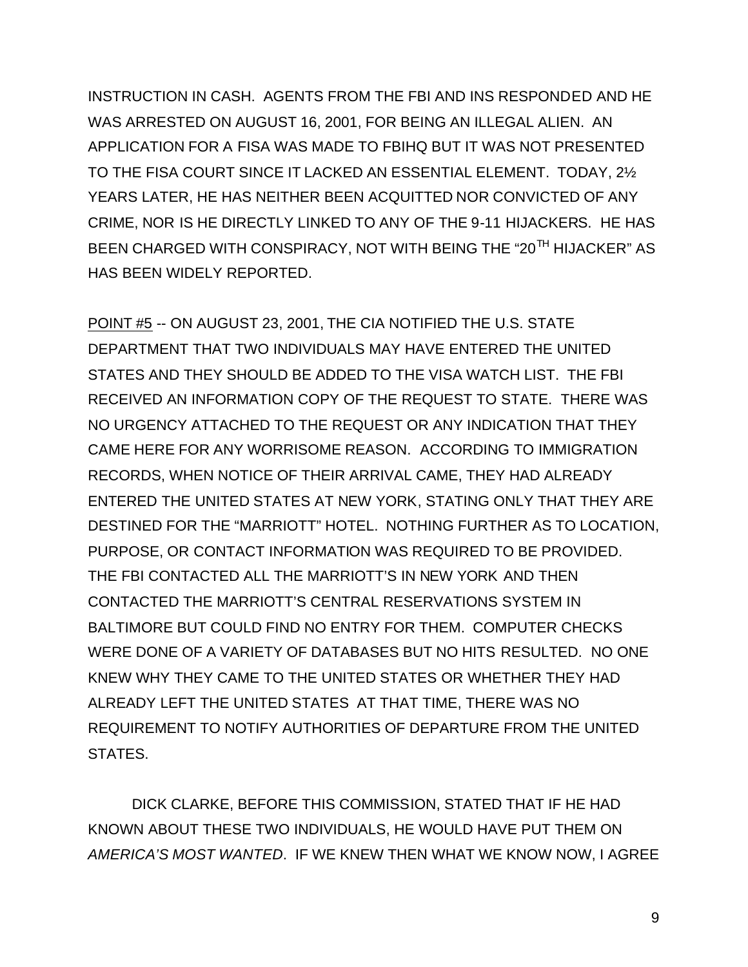INSTRUCTION IN CASH. AGENTS FROM THE FBI AND INS RESPONDED AND HE WAS ARRESTED ON AUGUST 16, 2001, FOR BEING AN ILLEGAL ALIEN. AN APPLICATION FOR A FISA WAS MADE TO FBIHQ BUT IT WAS NOT PRESENTED TO THE FISA COURT SINCE IT LACKED AN ESSENTIAL ELEMENT. TODAY, 2½ YEARS LATER, HE HAS NEITHER BEEN ACQUITTED NOR CONVICTED OF ANY CRIME, NOR IS HE DIRECTLY LINKED TO ANY OF THE 9-11 HIJACKERS. HE HAS BEEN CHARGED WITH CONSPIRACY, NOT WITH BEING THE "20<sup>TH</sup> HIJACKER" AS HAS BEEN WIDELY REPORTED.

POINT #5 -- ON AUGUST 23, 2001, THE CIA NOTIFIED THE U.S. STATE DEPARTMENT THAT TWO INDIVIDUALS MAY HAVE ENTERED THE UNITED STATES AND THEY SHOULD BE ADDED TO THE VISA WATCH LIST. THE FBI RECEIVED AN INFORMATION COPY OF THE REQUEST TO STATE. THERE WAS NO URGENCY ATTACHED TO THE REQUEST OR ANY INDICATION THAT THEY CAME HERE FOR ANY WORRISOME REASON. ACCORDING TO IMMIGRATION RECORDS, WHEN NOTICE OF THEIR ARRIVAL CAME, THEY HAD ALREADY ENTERED THE UNITED STATES AT NEW YORK, STATING ONLY THAT THEY ARE DESTINED FOR THE "MARRIOTT" HOTEL. NOTHING FURTHER AS TO LOCATION, PURPOSE, OR CONTACT INFORMATION WAS REQUIRED TO BE PROVIDED. THE FBI CONTACTED ALL THE MARRIOTT'S IN NEW YORK AND THEN CONTACTED THE MARRIOTT'S CENTRAL RESERVATIONS SYSTEM IN BALTIMORE BUT COULD FIND NO ENTRY FOR THEM. COMPUTER CHECKS WERE DONE OF A VARIETY OF DATABASES BUT NO HITS RESULTED. NO ONE KNEW WHY THEY CAME TO THE UNITED STATES OR WHETHER THEY HAD ALREADY LEFT THE UNITED STATES AT THAT TIME, THERE WAS NO REQUIREMENT TO NOTIFY AUTHORITIES OF DEPARTURE FROM THE UNITED STATES.

DICK CLARKE, BEFORE THIS COMMISSION, STATED THAT IF HE HAD KNOWN ABOUT THESE TWO INDIVIDUALS, HE WOULD HAVE PUT THEM ON *AMERICA'S MOST WANTED*. IF WE KNEW THEN WHAT WE KNOW NOW, I AGREE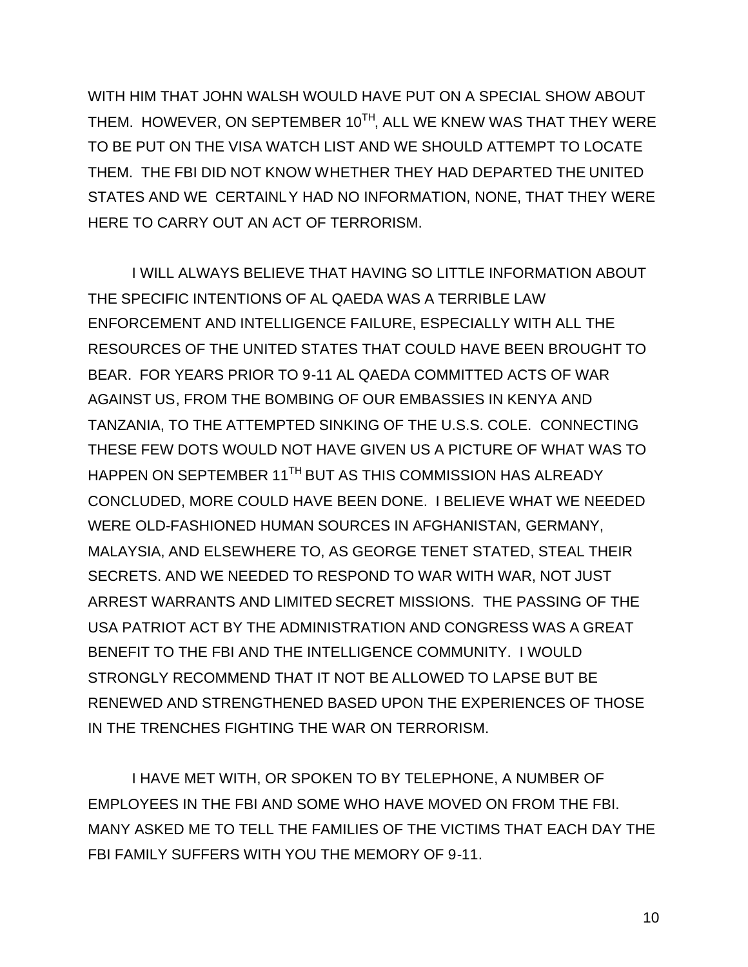WITH HIM THAT JOHN WALSH WOULD HAVE PUT ON A SPECIAL SHOW ABOUT THEM. HOWEVER, ON SEPTEMBER 10<sup>TH</sup>, ALL WE KNEW WAS THAT THEY WERE TO BE PUT ON THE VISA WATCH LIST AND WE SHOULD ATTEMPT TO LOCATE THEM. THE FBI DID NOT KNOW WHETHER THEY HAD DEPARTED THE UNITED STATES AND WE CERTAINLY HAD NO INFORMATION, NONE, THAT THEY WERE HERE TO CARRY OUT AN ACT OF TERRORISM.

I WILL ALWAYS BELIEVE THAT HAVING SO LITTLE INFORMATION ABOUT THE SPECIFIC INTENTIONS OF AL QAEDA WAS A TERRIBLE LAW ENFORCEMENT AND INTELLIGENCE FAILURE, ESPECIALLY WITH ALL THE RESOURCES OF THE UNITED STATES THAT COULD HAVE BEEN BROUGHT TO BEAR. FOR YEARS PRIOR TO 9-11 AL QAEDA COMMITTED ACTS OF WAR AGAINST US, FROM THE BOMBING OF OUR EMBASSIES IN KENYA AND TANZANIA, TO THE ATTEMPTED SINKING OF THE U.S.S. COLE. CONNECTING THESE FEW DOTS WOULD NOT HAVE GIVEN US A PICTURE OF WHAT WAS TO HAPPEN ON SEPTEMBER 11<sup>TH</sup> BUT AS THIS COMMISSION HAS ALREADY CONCLUDED, MORE COULD HAVE BEEN DONE. I BELIEVE WHAT WE NEEDED WERE OLD-FASHIONED HUMAN SOURCES IN AFGHANISTAN, GERMANY, MALAYSIA, AND ELSEWHERE TO, AS GEORGE TENET STATED, STEAL THEIR SECRETS. AND WE NEEDED TO RESPOND TO WAR WITH WAR, NOT JUST ARREST WARRANTS AND LIMITED SECRET MISSIONS. THE PASSING OF THE USA PATRIOT ACT BY THE ADMINISTRATION AND CONGRESS WAS A GREAT BENEFIT TO THE FBI AND THE INTELLIGENCE COMMUNITY. I WOULD STRONGLY RECOMMEND THAT IT NOT BE ALLOWED TO LAPSE BUT BE RENEWED AND STRENGTHENED BASED UPON THE EXPERIENCES OF THOSE IN THE TRENCHES FIGHTING THE WAR ON TERRORISM.

I HAVE MET WITH, OR SPOKEN TO BY TELEPHONE, A NUMBER OF EMPLOYEES IN THE FBI AND SOME WHO HAVE MOVED ON FROM THE FBI. MANY ASKED ME TO TELL THE FAMILIES OF THE VICTIMS THAT EACH DAY THE FBI FAMILY SUFFERS WITH YOU THE MEMORY OF 9-11.